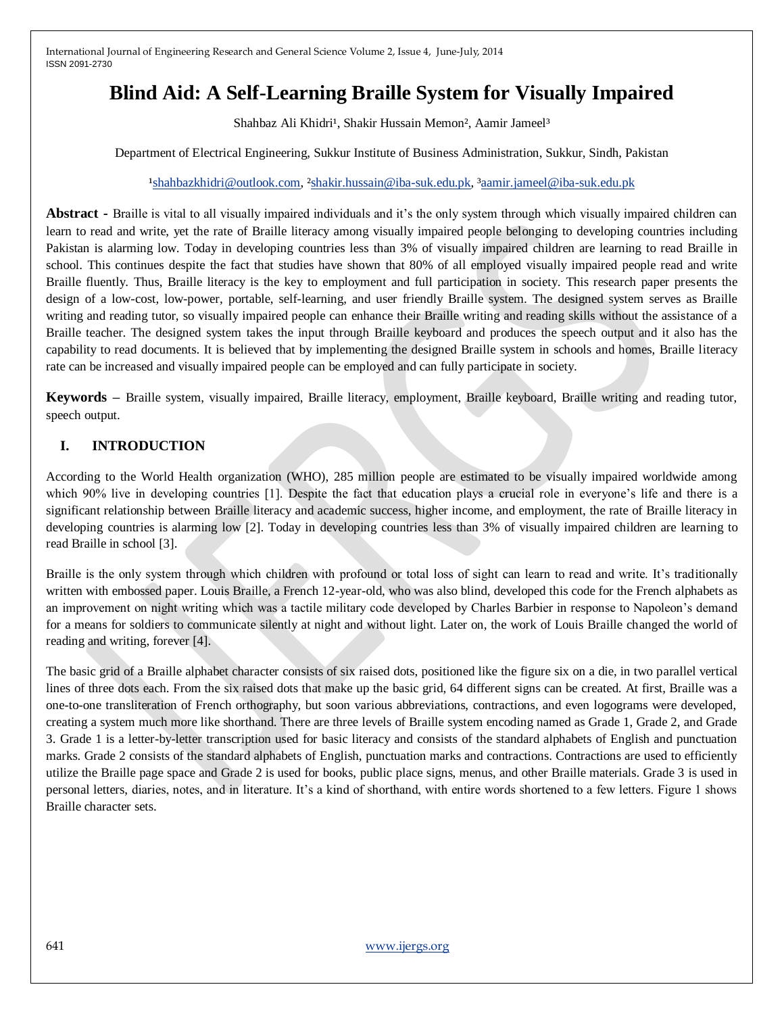# **Blind Aid: A Self-Learning Braille System for Visually Impaired**

Shahbaz Ali Khidri<sup>1</sup>, Shakir Hussain Memon<sup>2</sup>, Aamir Jameel<sup>3</sup>

Department of Electrical Engineering, Sukkur Institute of Business Administration, Sukkur, Sindh, Pakistan

#### <sup>1</sup>shahbazkhidri@outlook.com, <sup>2</sup>shakir.hussain@iba-suk.edu.pk, <sup>3</sup>aamir.jameel@iba-suk.edu.pk

**Abstract -** Braille is vital to all visually impaired individuals and it's the only system through which visually impaired children can learn to read and write, yet the rate of Braille literacy among visually impaired people belonging to developing countries including Pakistan is alarming low. Today in developing countries less than 3% of visually impaired children are learning to read Braille in school. This continues despite the fact that studies have shown that 80% of all employed visually impaired people read and write Braille fluently. Thus, Braille literacy is the key to employment and full participation in society. This research paper presents the design of a low-cost, low-power, portable, self-learning, and user friendly Braille system. The designed system serves as Braille writing and reading tutor, so visually impaired people can enhance their Braille writing and reading skills without the assistance of a Braille teacher. The designed system takes the input through Braille keyboard and produces the speech output and it also has the capability to read documents. It is believed that by implementing the designed Braille system in schools and homes, Braille literacy rate can be increased and visually impaired people can be employed and can fully participate in society.

**Keywords –** Braille system, visually impaired, Braille literacy, employment, Braille keyboard, Braille writing and reading tutor, speech output.

## **I. INTRODUCTION**

According to the World Health organization (WHO), 285 million people are estimated to be visually impaired worldwide among which 90% live in developing countries [1]. Despite the fact that education plays a crucial role in everyone's life and there is a significant relationship between Braille literacy and academic success, higher income, and employment, the rate of Braille literacy in developing countries is alarming low [2]. Today in developing countries less than 3% of visually impaired children are learning to read Braille in school [3].

Braille is the only system through which children with profound or total loss of sight can learn to read and write. It's traditionally written with embossed paper. Louis Braille, a French 12-year-old, who was also blind, developed this code for the French alphabets as an improvement on night writing which was a tactile military code developed by Charles Barbier in response to Napoleon's demand for a means for soldiers to communicate silently at night and without light. Later on, the work of Louis Braille changed the world of reading and writing, forever [4].

The basic grid of a Braille alphabet character consists of six raised dots, positioned like the figure six on a die, in two parallel vertical lines of three dots each. From the six raised dots that make up the basic grid, 64 different signs can be created. At first, Braille was a one-to-one transliteration of French orthography, but soon various abbreviations, contractions, and even logograms were developed, creating a system much more like shorthand. There are three levels of Braille system encoding named as Grade 1, Grade 2, and Grade 3. Grade 1 is a letter-by-letter transcription used for basic literacy and consists of the standard alphabets of English and punctuation marks. Grade 2 consists of the standard alphabets of English, punctuation marks and contractions. Contractions are used to efficiently utilize the Braille page space and Grade 2 is used for books, public place signs, menus, and other Braille materials. Grade 3 is used in personal letters, diaries, notes, and in literature. It's a kind of shorthand, with entire words shortened to a few letters. Figure 1 shows Braille character sets.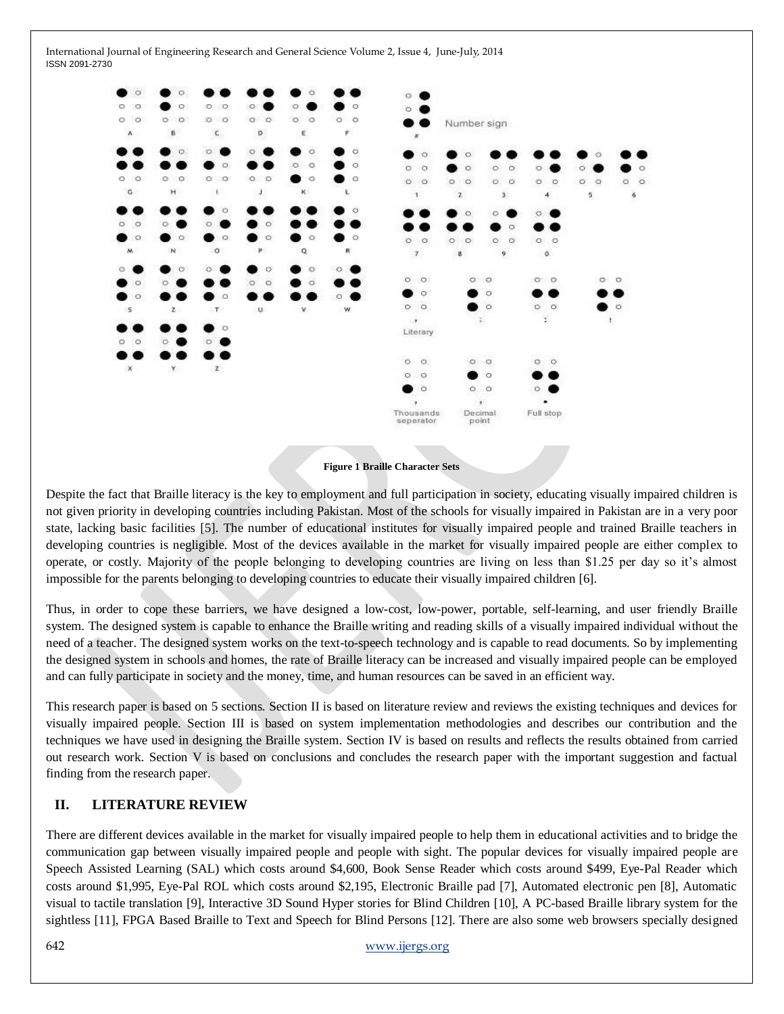

#### **Figure 1 Braille Character Sets**

Despite the fact that Braille literacy is the key to employment and full participation in society, educating visually impaired children is not given priority in developing countries including Pakistan. Most of the schools for visually impaired in Pakistan are in a very poor state, lacking basic facilities [5]. The number of educational institutes for visually impaired people and trained Braille teachers in developing countries is negligible. Most of the devices available in the market for visually impaired people are either complex to operate, or costly. Majority of the people belonging to developing countries are living on less than \$1.25 per day so it's almost impossible for the parents belonging to developing countries to educate their visually impaired children [6].

Thus, in order to cope these barriers, we have designed a low-cost, low-power, portable, self-learning, and user friendly Braille system. The designed system is capable to enhance the Braille writing and reading skills of a visually impaired individual without the need of a teacher. The designed system works on the text-to-speech technology and is capable to read documents. So by implementing the designed system in schools and homes, the rate of Braille literacy can be increased and visually impaired people can be employed and can fully participate in society and the money, time, and human resources can be saved in an efficient way.

This research paper is based on 5 sections. Section II is based on literature review and reviews the existing techniques and devices for visually impaired people. Section III is based on system implementation methodologies and describes our contribution and the techniques we have used in designing the Braille system. Section IV is based on results and reflects the results obtained from carried out research work. Section V is based on conclusions and concludes the research paper with the important suggestion and factual finding from the research paper.

#### **II. LITERATURE REVIEW**

There are different devices available in the market for visually impaired people to help them in educational activities and to bridge the communication gap between visually impaired people and people with sight. The popular devices for visually impaired people are Speech Assisted Learning (SAL) which costs around \$4,600, Book Sense Reader which costs around \$499, Eye-Pal Reader which costs around \$1,995, Eye-Pal ROL which costs around \$2,195, Electronic Braille pad [7], Automated electronic pen [8], Automatic visual to tactile translation [9], Interactive 3D Sound Hyper stories for Blind Children [10], A PC-based Braille library system for the sightless [11], FPGA Based Braille to Text and Speech for Blind Persons [12]. There are also some web browsers specially designed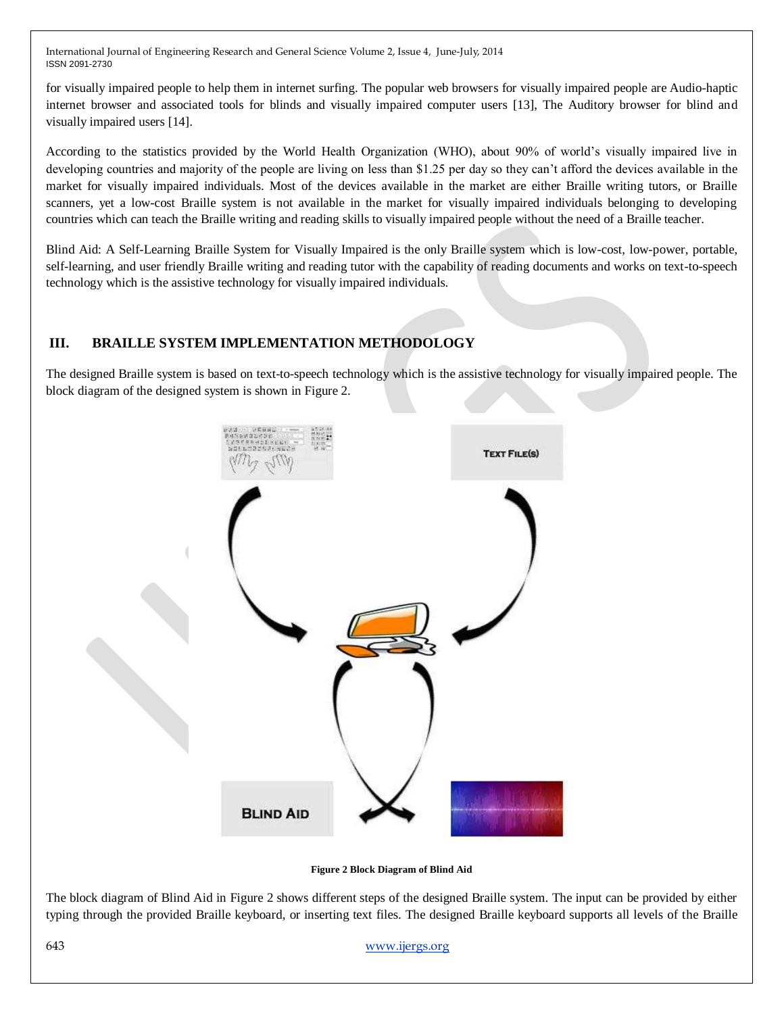for visually impaired people to help them in internet surfing. The popular web browsers for visually impaired people are Audio-haptic internet browser and associated tools for blinds and visually impaired computer users [13], The Auditory browser for blind and visually impaired users [14].

According to the statistics provided by the World Health Organization (WHO), about 90% of world's visually impaired live in developing countries and majority of the people are living on less than \$1.25 per day so they can't afford the devices available in the market for visually impaired individuals. Most of the devices available in the market are either Braille writing tutors, or Braille scanners, yet a low-cost Braille system is not available in the market for visually impaired individuals belonging to developing countries which can teach the Braille writing and reading skills to visually impaired people without the need of a Braille teacher.

Blind Aid: A Self-Learning Braille System for Visually Impaired is the only Braille system which is low-cost, low-power, portable, self-learning, and user friendly Braille writing and reading tutor with the capability of reading documents and works on text-to-speech technology which is the assistive technology for visually impaired individuals.

## **III. BRAILLE SYSTEM IMPLEMENTATION METHODOLOGY**

The designed Braille system is based on text-to-speech technology which is the assistive technology for visually impaired people. The block diagram of the designed system is shown in Figure 2.



**Figure 2 Block Diagram of Blind Aid**

The block diagram of Blind Aid in Figure 2 shows different steps of the designed Braille system. The input can be provided by either typing through the provided Braille keyboard, or inserting text files. The designed Braille keyboard supports all levels of the Braille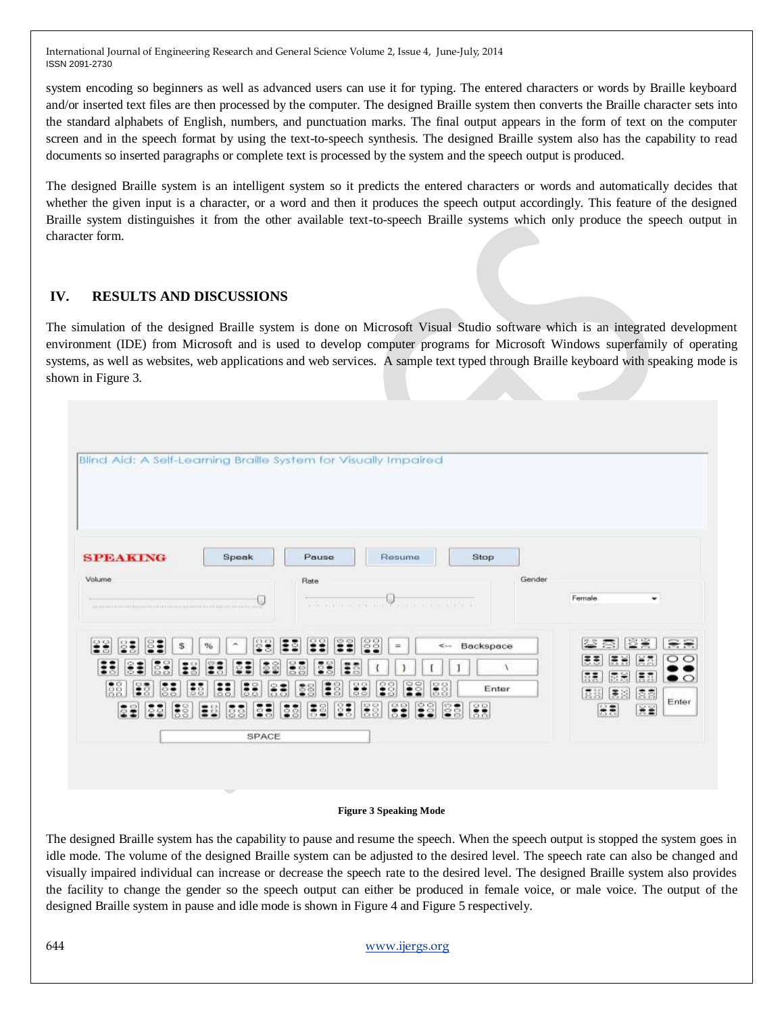system encoding so beginners as well as advanced users can use it for typing. The entered characters or words by Braille keyboard and/or inserted text files are then processed by the computer. The designed Braille system then converts the Braille character sets into the standard alphabets of English, numbers, and punctuation marks. The final output appears in the form of text on the computer screen and in the speech format by using the text-to-speech synthesis. The designed Braille system also has the capability to read documents so inserted paragraphs or complete text is processed by the system and the speech output is produced.

The designed Braille system is an intelligent system so it predicts the entered characters or words and automatically decides that whether the given input is a character, or a word and then it produces the speech output accordingly. This feature of the designed Braille system distinguishes it from the other available text-to-speech Braille systems which only produce the speech output in character form.

#### **IV. RESULTS AND DISCUSSIONS**

The simulation of the designed Braille system is done on Microsoft Visual Studio software which is an integrated development environment (IDE) from Microsoft and is used to develop computer programs for Microsoft Windows superfamily of operating systems, as well as websites, web applications and web services. A sample text typed through Braille keyboard with speaking mode is shown in Figure 3.

| Blind Aid: A Self-Learning Braille System for Visually Impaired                                                                                                                                                                                   |                                                                                                                                                     |                                                                                                                                            |        |                                                                                                                |
|---------------------------------------------------------------------------------------------------------------------------------------------------------------------------------------------------------------------------------------------------|-----------------------------------------------------------------------------------------------------------------------------------------------------|--------------------------------------------------------------------------------------------------------------------------------------------|--------|----------------------------------------------------------------------------------------------------------------|
| <b>SPEAKING</b><br>Speak                                                                                                                                                                                                                          | Pause                                                                                                                                               | Resume<br>Stop                                                                                                                             |        |                                                                                                                |
| Volume                                                                                                                                                                                                                                            | Rate                                                                                                                                                | such a state and state and state and state and state and                                                                                   | Gender | Female<br>۰                                                                                                    |
| 물물<br>\$<br>%<br>۰<br><b>C3</b><br>Ξ<br>$\circ$<br>$\bullet$ $\circ$<br>58<br>$\ddot{z}$<br>$\ddot{\ddot{\bm{z}}}$<br>g<br>÷<br>Ξ<br>i<br>$\frac{88}{88}$<br>E3<br><b>SE</b><br>$\ddot{\ddot{\bm{z}}}$<br>$\frac{25}{55}$<br>22 23 38<br>ES<br>88 | Ξŝ<br>물물<br>្ទ<br>Φ<br>33<br>38<br>ES<br>ē<br>8<br>SS <sub>3</sub><br>88<br>88<br>÷<br>83<br><b>IS</b><br>$\frac{3}{5}$<br>$\frac{3}{2}$<br>39<br>E | iss.<br>$\leq -$ Backspace<br>$=$<br>$\frac{5}{2}$<br>္နွိွ<br>33<br>es <sup>1</sup><br>58<br>$\ddot{\mathbf{s}}$<br>$\frac{28}{55}$<br>8ā | Enter  | 需量<br>2.3<br>23<br>茶<br>澤<br>富杰<br>原表<br>×<br>$\circ$<br>信用<br>原言<br>信息<br>景秀<br>美国<br>喜喜<br>Enter<br>동물<br>展表 |
|                                                                                                                                                                                                                                                   | SPACE                                                                                                                                               |                                                                                                                                            |        |                                                                                                                |

#### **Figure 3 Speaking Mode**

The designed Braille system has the capability to pause and resume the speech. When the speech output is stopped the system goes in idle mode. The volume of the designed Braille system can be adjusted to the desired level. The speech rate can also be changed and visually impaired individual can increase or decrease the speech rate to the desired level. The designed Braille system also provides the facility to change the gender so the speech output can either be produced in female voice, or male voice. The output of the designed Braille system in pause and idle mode is shown in Figure 4 and Figure 5 respectively.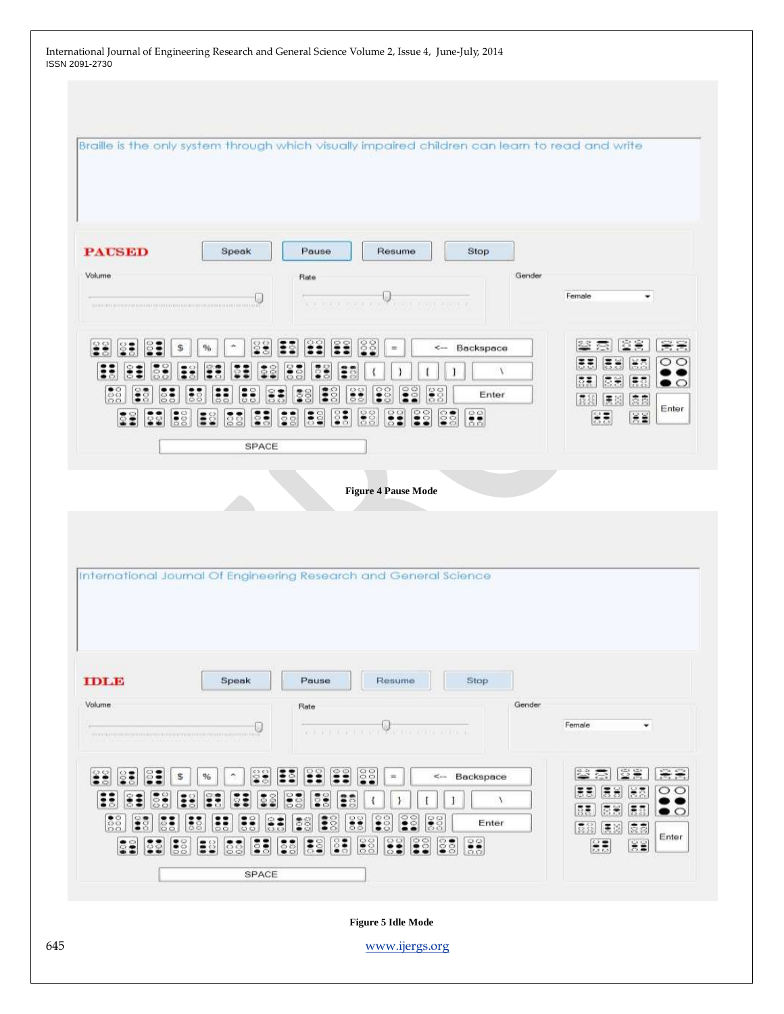| International Journal of Engineering Research and General Science Volume 2, Issue 4, June-July, 2014<br>ISSN 2091-2730                                                                                                                                                                                                                                                                                                                                                         |                 |
|--------------------------------------------------------------------------------------------------------------------------------------------------------------------------------------------------------------------------------------------------------------------------------------------------------------------------------------------------------------------------------------------------------------------------------------------------------------------------------|-----------------|
|                                                                                                                                                                                                                                                                                                                                                                                                                                                                                |                 |
|                                                                                                                                                                                                                                                                                                                                                                                                                                                                                |                 |
| Braille is the only system through which visually impaired children can learn to read and write                                                                                                                                                                                                                                                                                                                                                                                |                 |
|                                                                                                                                                                                                                                                                                                                                                                                                                                                                                |                 |
| <b>PAUSED</b><br>Speak<br>Pause<br>Stop<br>Resume                                                                                                                                                                                                                                                                                                                                                                                                                              |                 |
| Volume<br>Gender<br>Rate                                                                                                                                                                                                                                                                                                                                                                                                                                                       |                 |
| Female<br>٠<br><b>Victor President Property</b><br>the their time in<br>THE CHRISTIAN CONTINUES INTO THE REPORT OF THE REPORT OF THE REPORT OF THE REPORT OF                                                                                                                                                                                                                                                                                                                   |                 |
| 88<br><- Backspace<br>$\equiv$<br>s<br>$\%$                                                                                                                                                                                                                                                                                                                                                                                                                                    | 음음              |
| 景景<br>÷<br>$\lambda$<br>通信<br>德第<br>振売<br>8                                                                                                                                                                                                                                                                                                                                                                                                                                    | $\circ$<br>∙⊙   |
| $\frac{88}{500}$<br>Î<br>38<br>$ \frac{3}{2}\frac{3}{2}\rangle$<br>$\frac{25}{55}$<br>$\frac{38}{60}$<br>$\frac{1}{55}$<br>$\mathbf{33}$<br>Ε<br>$\frac{8}{3}$<br>$\frac{38}{28}$<br>B<br>Enter<br>៖<br>8<br>2<br>$\circ$<br>袁克<br>腰脚<br>昆器<br>$\left  \begin{smallmatrix} 0 & 0 \\ 0 & 0 \end{smallmatrix} \right $<br>န္တြန္<br>$\frac{20}{55}$<br>38<br>း<br> z <br>$\frac{35}{22}$<br>38<br>長葉<br><b>Ba</b><br>$\mathbf{55}$<br>医量<br>$\frac{1}{60}$<br>E<br>83<br>$\circ$ | Enter           |
| SPACE                                                                                                                                                                                                                                                                                                                                                                                                                                                                          |                 |
| <b>Figure 4 Pause Mode</b>                                                                                                                                                                                                                                                                                                                                                                                                                                                     |                 |
|                                                                                                                                                                                                                                                                                                                                                                                                                                                                                |                 |
|                                                                                                                                                                                                                                                                                                                                                                                                                                                                                |                 |
| International Journal Of Engineering Research and General Science                                                                                                                                                                                                                                                                                                                                                                                                              |                 |
|                                                                                                                                                                                                                                                                                                                                                                                                                                                                                |                 |
| <b>TDL10</b><br>Stop<br>Speak<br>Pause<br>Resume                                                                                                                                                                                                                                                                                                                                                                                                                               |                 |
| Volume<br>Gender<br>Rate                                                                                                                                                                                                                                                                                                                                                                                                                                                       |                 |
| Female<br>۰<br>U<br>All the company of the company of the all                                                                                                                                                                                                                                                                                                                                                                                                                  |                 |
| $\frac{25}{3}$<br>堂堂<br>SS <sub>3</sub><br>$\frac{80}{100}$<br>忠<br>÷<br>្ទ<br>38<br>S<br>3<br>悫<br>83<br>ē<br>ô<br><-- Backspace<br>%<br>$\equiv$<br>s                                                                                                                                                                                                                                                                                                                        | $\cong$ $\cong$ |
| 尾馬<br>医医<br>匮<br>$\mathbf{ii}$<br>Ë<br>း<br>ē<br>፤<br>።<br>ş<br>៊ី<br>剰<br>$\chi$<br>1<br>ិ<br>ñ<br>o<br>៊<br>통통<br>長春<br>德美<br>$\frac{88}{200}$<br>្ធិ<br>Î<br>38<br>E<br><b>DOC</b><br>8<br>፡<br>ē<br>S<br>z<br>8<br>Enter<br>O                                                                                                                                                                                                                                              | OΘ<br>∙○        |
| ē<br>ិ<br>昆器<br>医<br>遠慮<br>$\frac{6}{3}$<br>ြို့<br>$\frac{8}{55}$<br>ី<br>្ត្<br>g<br>ះ<br><b>S</b><br>$\lesssim \frac{1}{2}$<br>SS.<br>SS.<br>ē<br>៊ី<br>៖<br>ិ<br>E<br><b>SS</b><br>្ញ<br>第五<br>ā<br>ឹ<br>8<br>ō,<br>э                                                                                                                                                                                                                                                      | Enter           |
| SPACE                                                                                                                                                                                                                                                                                                                                                                                                                                                                          |                 |
|                                                                                                                                                                                                                                                                                                                                                                                                                                                                                |                 |
| <b>Figure 5 Idle Mode</b>                                                                                                                                                                                                                                                                                                                                                                                                                                                      |                 |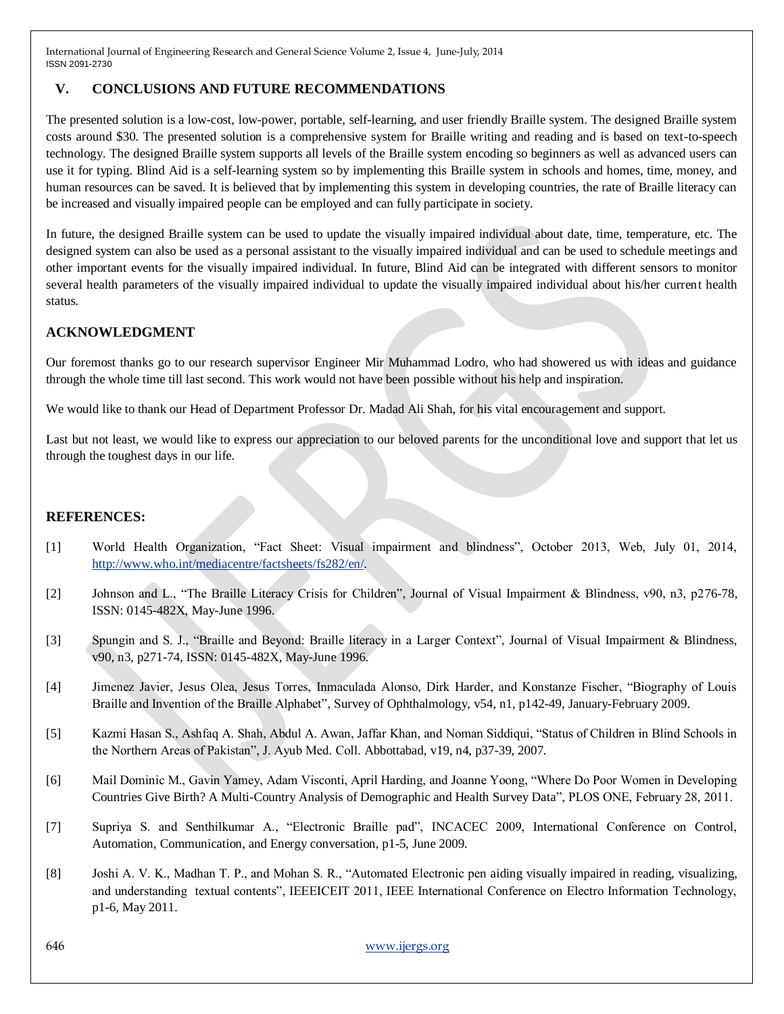### **V. CONCLUSIONS AND FUTURE RECOMMENDATIONS**

The presented solution is a low-cost, low-power, portable, self-learning, and user friendly Braille system. The designed Braille system costs around \$30. The presented solution is a comprehensive system for Braille writing and reading and is based on text-to-speech technology. The designed Braille system supports all levels of the Braille system encoding so beginners as well as advanced users can use it for typing. Blind Aid is a self-learning system so by implementing this Braille system in schools and homes, time, money, and human resources can be saved. It is believed that by implementing this system in developing countries, the rate of Braille literacy can be increased and visually impaired people can be employed and can fully participate in society.

In future, the designed Braille system can be used to update the visually impaired individual about date, time, temperature, etc. The designed system can also be used as a personal assistant to the visually impaired individual and can be used to schedule meetings and other important events for the visually impaired individual. In future, Blind Aid can be integrated with different sensors to monitor several health parameters of the visually impaired individual to update the visually impaired individual about his/her current health status.

### **ACKNOWLEDGMENT**

Our foremost thanks go to our research supervisor Engineer Mir Muhammad Lodro, who had showered us with ideas and guidance through the whole time till last second. This work would not have been possible without his help and inspiration.

We would like to thank our Head of Department Professor Dr. Madad Ali Shah, for his vital encouragement and support.

Last but not least, we would like to express our appreciation to our beloved parents for the unconditional love and support that let us through the toughest days in our life.

#### **REFERENCES:**

- [1] World Health Organization, "Fact Sheet: Visual impairment and blindness", October 2013, Web, July 01, 2014, [http://www.who.int/mediacentre/factsheets/fs282/en/.](http://www.who.int/mediacentre/factsheets/fs282/en/)
- [2] Johnson and L., "The Braille Literacy Crisis for Children", Journal of Visual Impairment & Blindness, v90, n3, p276-78, ISSN: 0145-482X, May-June 1996.
- [3] Spungin and S. J., "Braille and Beyond: Braille literacy in a Larger Context", Journal of Visual Impairment & Blindness, v90, n3, p271-74, ISSN: 0145-482X, May-June 1996.
- [4] Jimenez Javier, Jesus Olea, Jesus Torres, Inmaculada Alonso, Dirk Harder, and Konstanze Fischer, "Biography of Louis Braille and Invention of the Braille Alphabet", Survey of Ophthalmology, v54, n1, p142-49, January-February 2009.
- [5] Kazmi Hasan S., Ashfaq A. Shah, Abdul A. Awan, Jaffar Khan, and Noman Siddiqui, "Status of Children in Blind Schools in the Northern Areas of Pakistan", J. Ayub Med. Coll. Abbottabad, v19, n4, p37-39, 2007.
- [6] Mail Dominic M., Gavin Yamey, Adam Visconti, April Harding, and Joanne Yoong, "Where Do Poor Women in Developing Countries Give Birth? A Multi-Country Analysis of Demographic and Health Survey Data", PLOS ONE, February 28, 2011.
- [7] Supriya S. and Senthilkumar A., "Electronic Braille pad", INCACEC 2009, International Conference on Control, Automation, Communication, and Energy conversation, p1-5, June 2009.
- [8] Joshi A. V. K., Madhan T. P., and Mohan S. R., "Automated Electronic pen aiding visually impaired in reading, visualizing, and understanding textual contents", IEEEICEIT 2011, IEEE International Conference on Electro Information Technology, p1-6, May 2011.